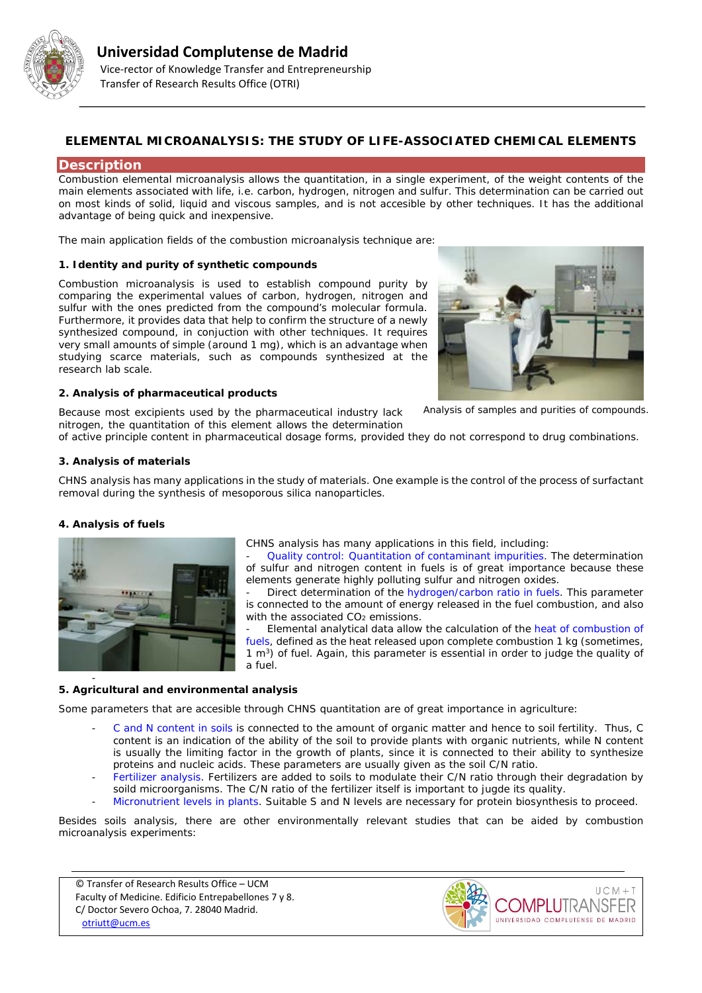

# **ELEMENTAL MICROANALYSIS: THE STUDY OF LIFE-ASSOCIATED CHEMICAL ELEMENTS**

# **Description**

Combustion elemental microanalysis allows the quantitation, in a single experiment, of the weight contents of the main elements associated with life, i.e. carbon, hydrogen, nitrogen and sulfur. This determination can be carried out on most kinds of solid, liquid and viscous samples, and is not accesible by other techniques. It has the additional advantage of being quick and inexpensive.

The main application fields of the combustion microanalysis technique are:

## **1. Identity and purity of synthetic compounds**

Combustion microanalysis is used to establish compound purity by comparing the experimental values of carbon, hydrogen, nitrogen and sulfur with the ones predicted from the compound's molecular formula. Furthermore, it provides data that help to confirm the structure of a newly synthesized compound, in conjuction with other techniques. It requires very small amounts of simple (around 1 mg), which is an advantage when studying scarce materials, such as compounds synthesized at the research lab scale.

Because most excipients used by the pharmaceutical industry lack

### **2. Analysis of pharmaceutical products**



*Analysis of samples and purities of compounds.*

nitrogen, the quantitation of this element allows the determination of active principle content in pharmaceutical dosage forms, provided they do not correspond to drug combinations.

# **3. Analysis of materials**

CHNS analysis has many applications in the study of materials. One example is the control of the process of surfactant removal during the synthesis of mesoporous silica nanoparticles.

### **4. Analysis of fuels**



CHNS analysis has many applications in this field, including:

- Quality control: Quantitation of contaminant impurities. The determination of sulfur and nitrogen content in fuels is of great importance because these elements generate highly polluting sulfur and nitrogen oxides.

Direct determination of the hydrogen/carbon ratio in fuels. This parameter is connected to the amount of energy released in the fuel combustion, and also with the associated  $CO<sub>2</sub>$  emissions.

Elemental analytical data allow the calculation of the heat of combustion of fuels, defined as the heat released upon complete combustion 1 kg (sometimes,  $1 \text{ m}^3$ ) of fuel. Again, this parameter is essential in order to judge the quality of a fuel.

#### - **5. Agricultural and environmental analysis**

Some parameters that are accesible through CHNS quantitation are of great importance in agriculture:

- C and N content in soils is connected to the amount of organic matter and hence to soil fertility. Thus, C content is an indication of the ability of the soil to provide plants with organic nutrients, while N content is usually the limiting factor in the growth of plants, since it is connected to their ability to synthesize proteins and nucleic acids. These parameters are usually given as the soil C/N ratio.
- Fertilizer analysis. Fertilizers are added to soils to modulate their C/N ratio through their degradation by soild microorganisms. The C/N ratio of the fertilizer itself is important to jugde its quality.
- Micronutrient levels in plants. Suitable S and N levels are necessary for protein biosynthesis to proceed.

Besides soils analysis, there are other environmentally relevant studies that can be aided by combustion microanalysis experiments:

© Transfer of Research Results Office – UCM Faculty of Medicine. Edificio Entrepabellones 7 y 8. C/ Doctor Severo Ochoa, 7. 28040 Madrid. [otriutt@ucm.es](mailto:otriutt@ucm.es;josecm@ucm.es?subject=ELEMENTAL%20MICROANALYSIS:%20THE%20STUDY%20OF%20LIFE-ASSOCIATED%20CHEMICAL%20ELEMENTS)